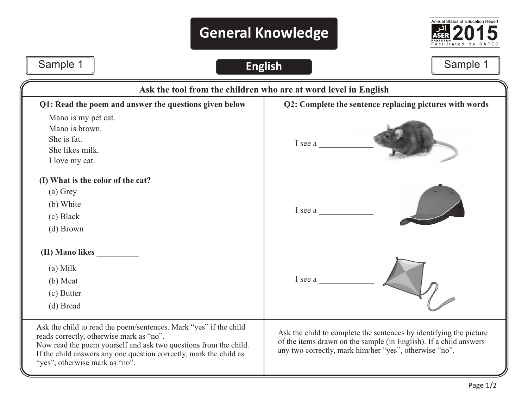## **General Knowledge**



## Sample 1 | Contract Contract Contract Contract Contract Contract Contract Contract Contract Contract Contract Contract Contract Contract Contract Contract Contract Contract Contract Contract Contract Contract Contract Cont

## **Q2: Complete the sentence replacing pictures with words**  I see a \_\_\_\_\_\_\_\_\_\_\_\_\_ I see a I see a **Q1: Read the poem and answer the questions given below** Mano is my pet cat. Mano is brown. She is fat. She likes milk. I love my cat. **(I) What is the color of the cat?** (a) Grey (b) White (c) Black (d) Brown **(II) Mano likes \_\_\_\_\_\_\_\_\_\_** Ask the child to read the poem/sentences. Mark "yes" if the child reads correctly, otherwise mark as "no". Now read the poem yourself and ask two questions from the child. If the child answers any one question correctly, mark the child as "yes", otherwise mark as "no". (a) Milk (b) Meat (c) Butter (d) Bread Ask the child to complete the sentences by identifying the picture of the items drawn on the sample (in English). If a child answers any two correctly, mark him/her "yes", otherwise "no". **Ask the tool from the children who are at word level in English**